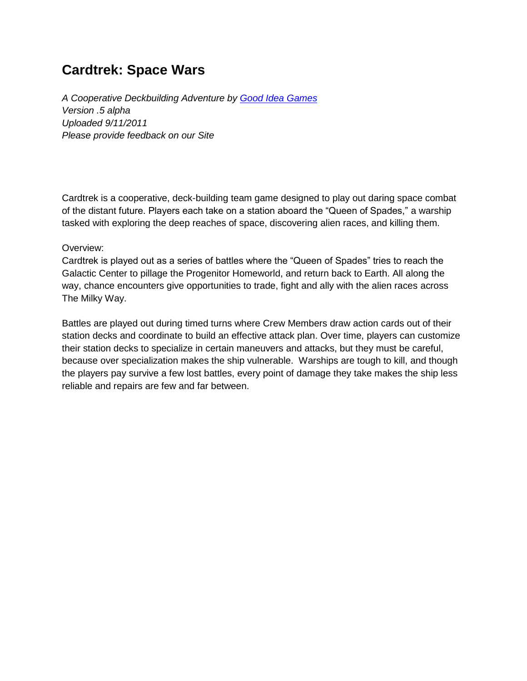# **Cardtrek: Space Wars**

*A Cooperative Deckbuilding Adventure by [Good Idea Games](https://sites.google.com/site/goodideagames/) Version .5 alpha Uploaded 9/11/2011 Please provide feedback on our Site*

Cardtrek is a cooperative, deck-building team game designed to play out daring space combat of the distant future. Players each take on a station aboard the "Queen of Spades," a warship tasked with exploring the deep reaches of space, discovering alien races, and killing them.

#### Overview:

Cardtrek is played out as a series of battles where the "Queen of Spades" tries to reach the Galactic Center to pillage the Progenitor Homeworld, and return back to Earth. All along the way, chance encounters give opportunities to trade, fight and ally with the alien races across The Milky Way.

Battles are played out during timed turns where Crew Members draw action cards out of their station decks and coordinate to build an effective attack plan. Over time, players can customize their station decks to specialize in certain maneuvers and attacks, but they must be careful, because over specialization makes the ship vulnerable. Warships are tough to kill, and though the players pay survive a few lost battles, every point of damage they take makes the ship less reliable and repairs are few and far between.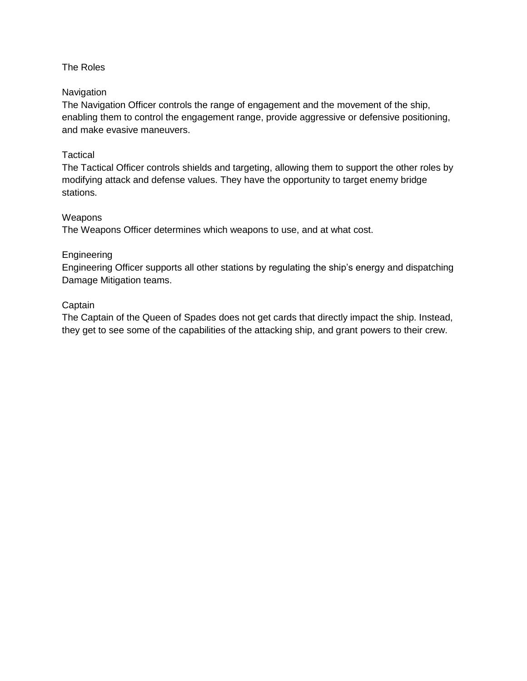## The Roles

#### **Navigation**

The Navigation Officer controls the range of engagement and the movement of the ship, enabling them to control the engagement range, provide aggressive or defensive positioning, and make evasive maneuvers.

#### **Tactical**

The Tactical Officer controls shields and targeting, allowing them to support the other roles by modifying attack and defense values. They have the opportunity to target enemy bridge stations.

#### Weapons

The Weapons Officer determines which weapons to use, and at what cost.

#### Engineering

Engineering Officer supports all other stations by regulating the ship's energy and dispatching Damage Mitigation teams.

#### **Captain**

The Captain of the Queen of Spades does not get cards that directly impact the ship. Instead, they get to see some of the capabilities of the attacking ship, and grant powers to their crew.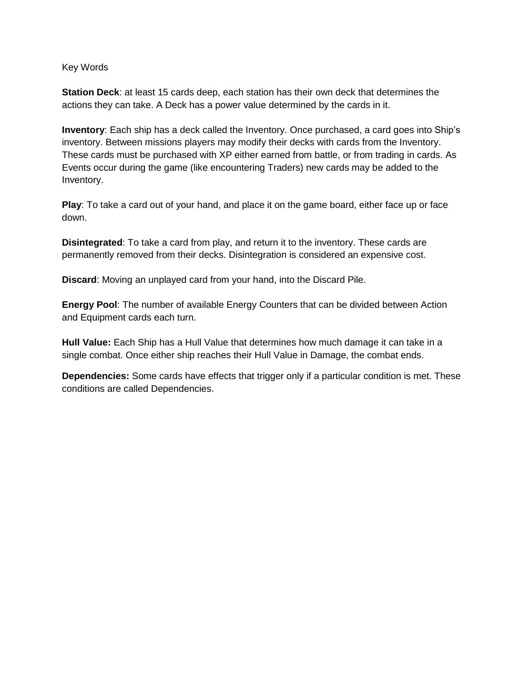#### Key Words

**Station Deck**: at least 15 cards deep, each station has their own deck that determines the actions they can take. A Deck has a power value determined by the cards in it.

**Inventory**: Each ship has a deck called the Inventory. Once purchased, a card goes into Ship's inventory. Between missions players may modify their decks with cards from the Inventory. These cards must be purchased with XP either earned from battle, or from trading in cards. As Events occur during the game (like encountering Traders) new cards may be added to the Inventory.

**Play**: To take a card out of your hand, and place it on the game board, either face up or face down.

**Disintegrated**: To take a card from play, and return it to the inventory. These cards are permanently removed from their decks. Disintegration is considered an expensive cost.

**Discard**: Moving an unplayed card from your hand, into the Discard Pile.

**Energy Pool**: The number of available Energy Counters that can be divided between Action and Equipment cards each turn.

**Hull Value:** Each Ship has a Hull Value that determines how much damage it can take in a single combat. Once either ship reaches their Hull Value in Damage, the combat ends.

**Dependencies:** Some cards have effects that trigger only if a particular condition is met. These conditions are called Dependencies.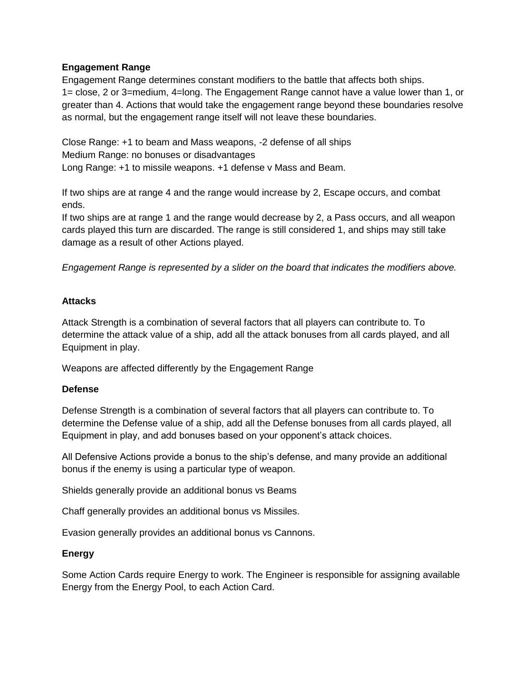## **Engagement Range**

Engagement Range determines constant modifiers to the battle that affects both ships. 1= close, 2 or 3=medium, 4=long. The Engagement Range cannot have a value lower than 1, or greater than 4. Actions that would take the engagement range beyond these boundaries resolve as normal, but the engagement range itself will not leave these boundaries.

Close Range: +1 to beam and Mass weapons, -2 defense of all ships Medium Range: no bonuses or disadvantages Long Range: +1 to missile weapons. +1 defense v Mass and Beam.

If two ships are at range 4 and the range would increase by 2, Escape occurs, and combat ends.

If two ships are at range 1 and the range would decrease by 2, a Pass occurs, and all weapon cards played this turn are discarded. The range is still considered 1, and ships may still take damage as a result of other Actions played.

*Engagement Range is represented by a slider on the board that indicates the modifiers above.*

## **Attacks**

Attack Strength is a combination of several factors that all players can contribute to. To determine the attack value of a ship, add all the attack bonuses from all cards played, and all Equipment in play.

Weapons are affected differently by the Engagement Range

#### **Defense**

Defense Strength is a combination of several factors that all players can contribute to. To determine the Defense value of a ship, add all the Defense bonuses from all cards played, all Equipment in play, and add bonuses based on your opponent's attack choices.

All Defensive Actions provide a bonus to the ship's defense, and many provide an additional bonus if the enemy is using a particular type of weapon.

Shields generally provide an additional bonus vs Beams

Chaff generally provides an additional bonus vs Missiles.

Evasion generally provides an additional bonus vs Cannons.

## **Energy**

Some Action Cards require Energy to work. The Engineer is responsible for assigning available Energy from the Energy Pool, to each Action Card.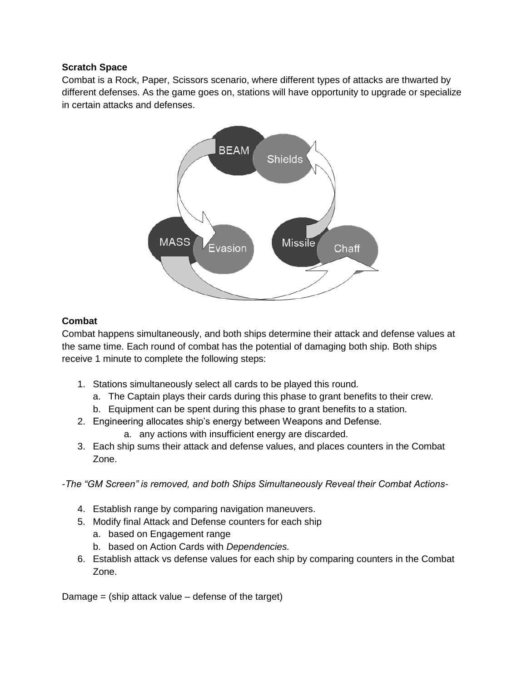## **Scratch Space**

Combat is a Rock, Paper, Scissors scenario, where different types of attacks are thwarted by different defenses. As the game goes on, stations will have opportunity to upgrade or specialize in certain attacks and defenses.



## **Combat**

Combat happens simultaneously, and both ships determine their attack and defense values at the same time. Each round of combat has the potential of damaging both ship. Both ships receive 1 minute to complete the following steps:

- 1. Stations simultaneously select all cards to be played this round.
	- a. The Captain plays their cards during this phase to grant benefits to their crew.
	- b. Equipment can be spent during this phase to grant benefits to a station.
- 2. Engineering allocates ship's energy between Weapons and Defense.
	- a. any actions with insufficient energy are discarded.
- 3. Each ship sums their attack and defense values, and places counters in the Combat Zone.

*-The "GM Screen" is removed, and both Ships Simultaneously Reveal their Combat Actions-*

- 4. Establish range by comparing navigation maneuvers.
- 5. Modify final Attack and Defense counters for each ship
	- a. based on Engagement range
	- b. based on Action Cards with *Dependencies.*
- 6. Establish attack vs defense values for each ship by comparing counters in the Combat Zone.

Damage  $=$  (ship attack value  $-$  defense of the target)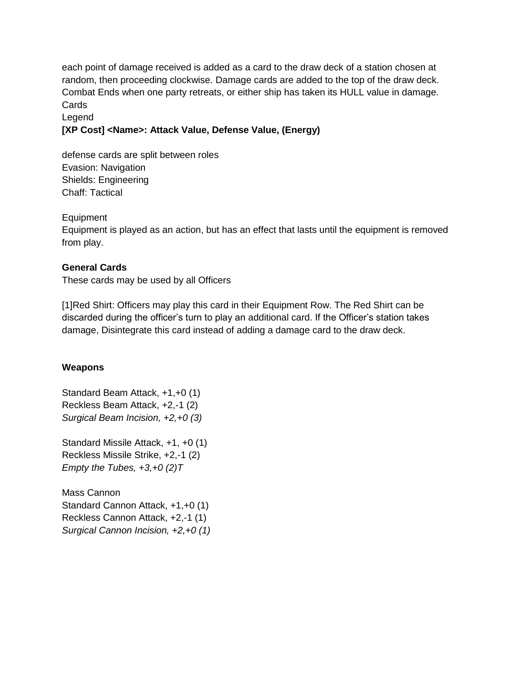each point of damage received is added as a card to the draw deck of a station chosen at random, then proceeding clockwise. Damage cards are added to the top of the draw deck. Combat Ends when one party retreats, or either ship has taken its HULL value in damage. **Cards** 

Legend

## **[XP Cost] <Name>: Attack Value, Defense Value, (Energy)**

defense cards are split between roles Evasion: Navigation Shields: Engineering Chaff: Tactical

**Equipment** 

Equipment is played as an action, but has an effect that lasts until the equipment is removed from play.

## **General Cards**

These cards may be used by all Officers

[1]Red Shirt: Officers may play this card in their Equipment Row. The Red Shirt can be discarded during the officer's turn to play an additional card. If the Officer's station takes damage, Disintegrate this card instead of adding a damage card to the draw deck.

#### **Weapons**

Standard Beam Attack, +1,+0 (1) Reckless Beam Attack, +2,-1 (2) *Surgical Beam Incision, +2,+0 (3)*

Standard Missile Attack, +1, +0 (1) Reckless Missile Strike, +2,-1 (2) *Empty the Tubes, +3,+0 (2)T*

Mass Cannon Standard Cannon Attack, +1,+0 (1) Reckless Cannon Attack, +2,-1 (1) *Surgical Cannon Incision, +2,+0 (1)*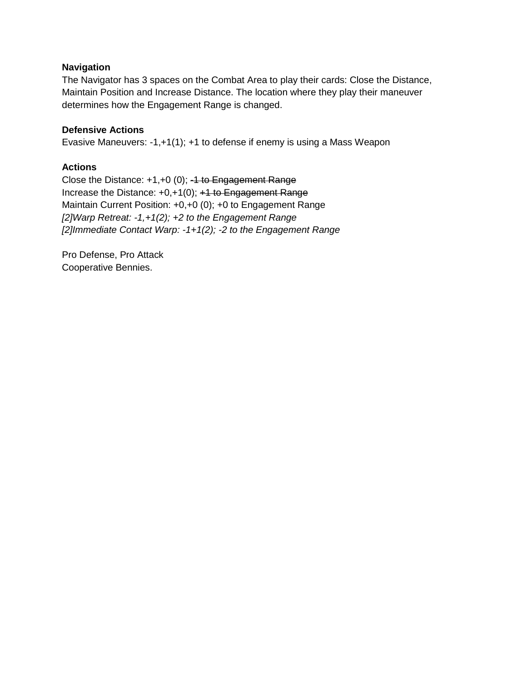#### **Navigation**

The Navigator has 3 spaces on the Combat Area to play their cards: Close the Distance, Maintain Position and Increase Distance. The location where they play their maneuver determines how the Engagement Range is changed.

## **Defensive Actions**

Evasive Maneuvers: -1,+1(1); +1 to defense if enemy is using a Mass Weapon

## **Actions**

Close the Distance:  $+1,+0$  (0);  $-4$  to Engagement Range Increase the Distance: +0,+1(0); +1 to Engagement Range Maintain Current Position: +0,+0 (0); +0 to Engagement Range *[2]Warp Retreat: -1,+1(2); +2 to the Engagement Range [2]Immediate Contact Warp: -1+1(2); -2 to the Engagement Range*

Pro Defense, Pro Attack Cooperative Bennies.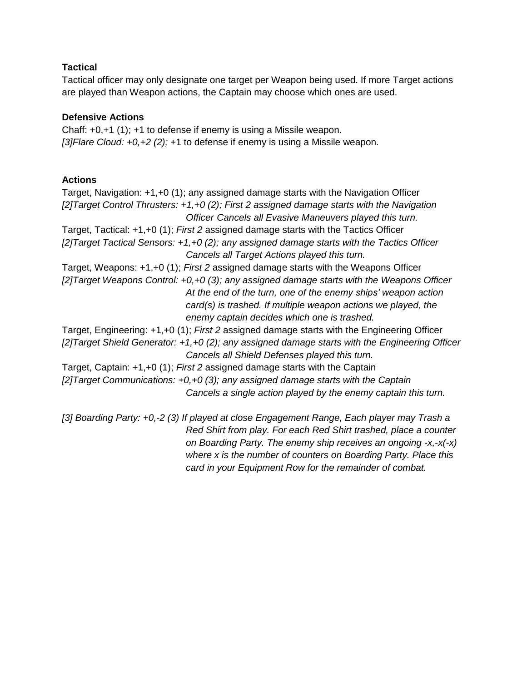## **Tactical**

Tactical officer may only designate one target per Weapon being used. If more Target actions are played than Weapon actions, the Captain may choose which ones are used.

## **Defensive Actions**

Chaff: +0,+1 (1); +1 to defense if enemy is using a Missile weapon. *[3]Flare Cloud: +0,+2 (2);* +1 to defense if enemy is using a Missile weapon.

## **Actions**

Target, Navigation: +1,+0 (1); any assigned damage starts with the Navigation Officer *[2]Target Control Thrusters: +1,+0 (2); First 2 assigned damage starts with the Navigation Officer Cancels all Evasive Maneuvers played this turn.* Target, Tactical: +1,+0 (1); *First 2* assigned damage starts with the Tactics Officer *[2]Target Tactical Sensors: +1,+0 (2); any assigned damage starts with the Tactics Officer Cancels all Target Actions played this turn.* Target, Weapons: +1,+0 (1); *First 2* assigned damage starts with the Weapons Officer *[2]Target Weapons Control: +0,+0 (3); any assigned damage starts with the Weapons Officer At the end of the turn, one of the enemy ships' weapon action card(s) is trashed. If multiple weapon actions we played, the enemy captain decides which one is trashed.* Target, Engineering: +1,+0 (1); *First 2* assigned damage starts with the Engineering Officer *[2]Target Shield Generator: +1,+0 (2); any assigned damage starts with the Engineering Officer Cancels all Shield Defenses played this turn.* Target, Captain: +1,+0 (1); *First 2* assigned damage starts with the Captain *[2]Target Communications: +0,+0 (3); any assigned damage starts with the Captain Cancels a single action played by the enemy captain this turn.*

*[3] Boarding Party: +0,-2 (3) If played at close Engagement Range, Each player may Trash a Red Shirt from play. For each Red Shirt trashed, place a counter on Boarding Party. The enemy ship receives an ongoing -x,-x(-x) where x is the number of counters on Boarding Party. Place this card in your Equipment Row for the remainder of combat.*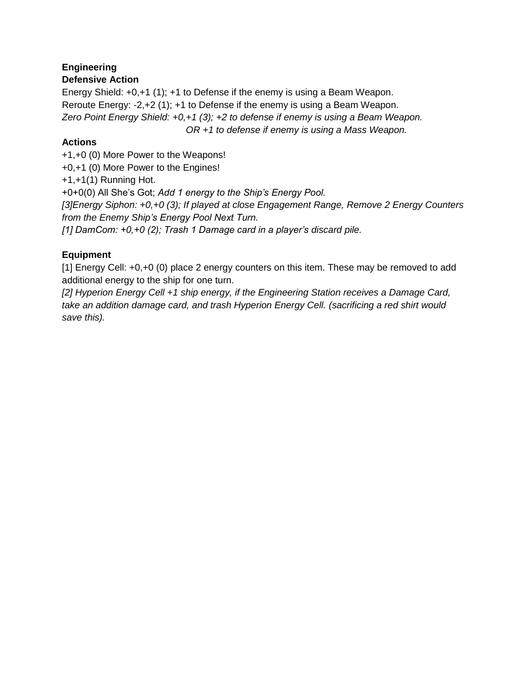## **Engineering**

## **Defensive Action**

Energy Shield: +0,+1 (1); +1 to Defense if the enemy is using a Beam Weapon. Reroute Energy: -2,+2 (1); +1 to Defense if the enemy is using a Beam Weapon. *Zero Point Energy Shield: +0,+1 (3); +2 to defense if enemy is using a Beam Weapon.*

*OR +1 to defense if enemy is using a Mass Weapon.*

## **Actions**

+1,+0 (0) More Power to the Weapons! +0,+1 (0) More Power to the Engines! +1,+1(1) Running Hot. +0+0(0) All She's Got; *Add 1 energy to the Ship's Energy Pool. [3]Energy Siphon: +0,+0 (3); If played at close Engagement Range, Remove 2 Energy Counters from the Enemy Ship's Energy Pool Next Turn. [1] DamCom: +0,+0 (2); Trash 1 Damage card in a player's discard pile.*

## **Equipment**

[1] Energy Cell: +0,+0 (0) place 2 energy counters on this item. These may be removed to add additional energy to the ship for one turn.

*[2] Hyperion Energy Cell +1 ship energy, if the Engineering Station receives a Damage Card, take an addition damage card, and trash Hyperion Energy Cell. (sacrificing a red shirt would save this).*